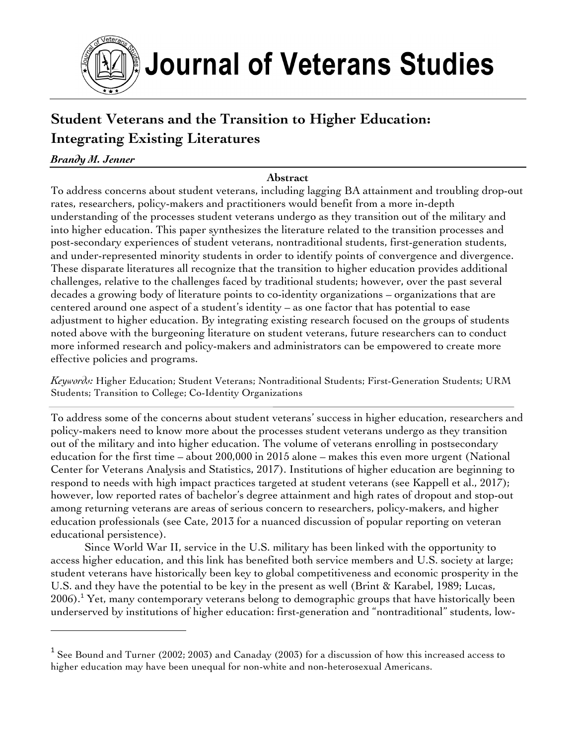

# **Student Veterans and the Transition to Higher Education: Integrating Existing Literatures**

## *Brandy M. Jenner*

## **Abstract**

To address concerns about student veterans, including lagging BA attainment and troubling drop-out rates, researchers, policy-makers and practitioners would benefit from a more in-depth understanding of the processes student veterans undergo as they transition out of the military and into higher education. This paper synthesizes the literature related to the transition processes and post-secondary experiences of student veterans, nontraditional students, first-generation students, and under-represented minority students in order to identify points of convergence and divergence. These disparate literatures all recognize that the transition to higher education provides additional challenges, relative to the challenges faced by traditional students; however, over the past several decades a growing body of literature points to co-identity organizations – organizations that are centered around one aspect of a student's identity – as one factor that has potential to ease adjustment to higher education. By integrating existing research focused on the groups of students noted above with the burgeoning literature on student veterans, future researchers can to conduct more informed research and policy-makers and administrators can be empowered to create more effective policies and programs.

*Keywords:* Higher Education; Student Veterans; Nontraditional Students; First-Generation Students; URM Students; Transition to College; Co-Identity Organizations

To address some of the concerns about student veterans' success in higher education, researchers and policy-makers need to know more about the processes student veterans undergo as they transition out of the military and into higher education. The volume of veterans enrolling in postsecondary education for the first time – about 200,000 in 2015 alone – makes this even more urgent (National Center for Veterans Analysis and Statistics, 2017). Institutions of higher education are beginning to respond to needs with high impact practices targeted at student veterans (see Kappell et al., 2017); however, low reported rates of bachelor's degree attainment and high rates of dropout and stop-out among returning veterans are areas of serious concern to researchers, policy-makers, and higher education professionals (see Cate, 2013 for a nuanced discussion of popular reporting on veteran educational persistence).

Since World War II, service in the U.S. military has been linked with the opportunity to access higher education, and this link has benefited both service members and U.S. society at large; student veterans have historically been key to global competitiveness and economic prosperity in the U.S. and they have the potential to be key in the present as well (Brint & Karabel, 1989; Lucas,  $2006$ .<sup>1</sup> Yet, many contemporary veterans belong to demographic groups that have historically been underserved by institutions of higher education: first-generation and "nontraditional" students, low-

 $1$  See Bound and Turner (2002; 2003) and Canaday (2003) for a discussion of how this increased access to higher education may have been unequal for non-white and non-heterosexual Americans.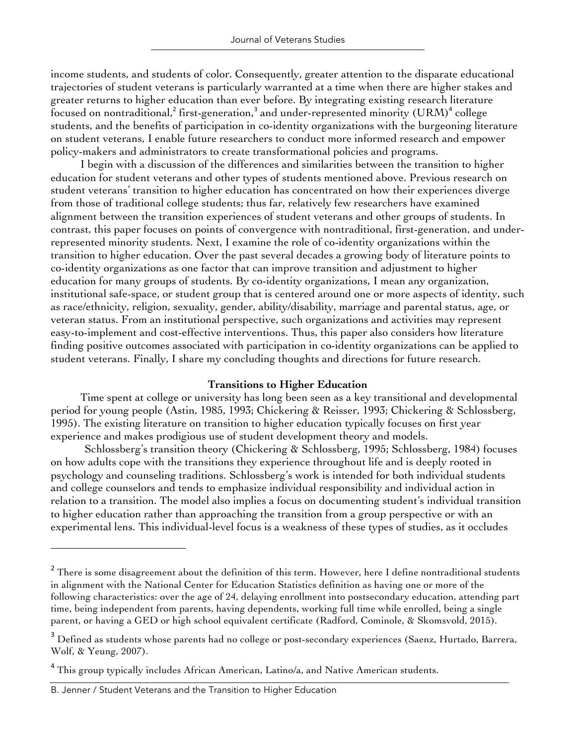income students, and students of color. Consequently, greater attention to the disparate educational trajectories of student veterans is particularly warranted at a time when there are higher stakes and greater returns to higher education than ever before. By integrating existing research literature focused on nontraditional,<sup>2</sup> first-generation,<sup>3</sup> and under-represented minority (URM)<sup>4</sup> college students, and the benefits of participation in co-identity organizations with the burgeoning literature on student veterans, I enable future researchers to conduct more informed research and empower policy-makers and administrators to create transformational policies and programs.

I begin with a discussion of the differences and similarities between the transition to higher education for student veterans and other types of students mentioned above. Previous research on student veterans' transition to higher education has concentrated on how their experiences diverge from those of traditional college students; thus far, relatively few researchers have examined alignment between the transition experiences of student veterans and other groups of students. In contrast, this paper focuses on points of convergence with nontraditional, first-generation, and underrepresented minority students. Next, I examine the role of co-identity organizations within the transition to higher education. Over the past several decades a growing body of literature points to co-identity organizations as one factor that can improve transition and adjustment to higher education for many groups of students. By co-identity organizations, I mean any organization, institutional safe-space, or student group that is centered around one or more aspects of identity, such as race/ethnicity, religion, sexuality, gender, ability/disability, marriage and parental status, age, or veteran status. From an institutional perspective, such organizations and activities may represent easy-to-implement and cost-effective interventions. Thus, this paper also considers how literature finding positive outcomes associated with participation in co-identity organizations can be applied to student veterans. Finally, I share my concluding thoughts and directions for future research.

## **Transitions to Higher Education**

Time spent at college or university has long been seen as a key transitional and developmental period for young people (Astin, 1985, 1993; Chickering & Reisser, 1993; Chickering & Schlossberg, 1995). The existing literature on transition to higher education typically focuses on first year experience and makes prodigious use of student development theory and models.

Schlossberg's transition theory (Chickering & Schlossberg, 1995; Schlossberg, 1984) focuses on how adults cope with the transitions they experience throughout life and is deeply rooted in psychology and counseling traditions. Schlossberg's work is intended for both individual students and college counselors and tends to emphasize individual responsibility and individual action in relation to a transition. The model also implies a focus on documenting student's individual transition to higher education rather than approaching the transition from a group perspective or with an experimental lens. This individual-level focus is a weakness of these types of studies, as it occludes

<sup>&</sup>lt;sup>2</sup> There is some disagreement about the definition of this term. However, here I define nontraditional students in alignment with the National Center for Education Statistics definition as having one or more of the following characteristics: over the age of 24, delaying enrollment into postsecondary education, attending part time, being independent from parents, having dependents, working full time while enrolled, being a single parent, or having a GED or high school equivalent certificate (Radford, Cominole, & Skomsvold, 2015).

<sup>&</sup>lt;sup>3</sup> Defined as students whose parents had no college or post-secondary experiences (Saenz, Hurtado, Barrera, Wolf, & Yeung, 2007).

<sup>&</sup>lt;sup>4</sup> This group typically includes African American, Latino/a, and Native American students.

B. Jenner / Student Veterans and the Transition to Higher Education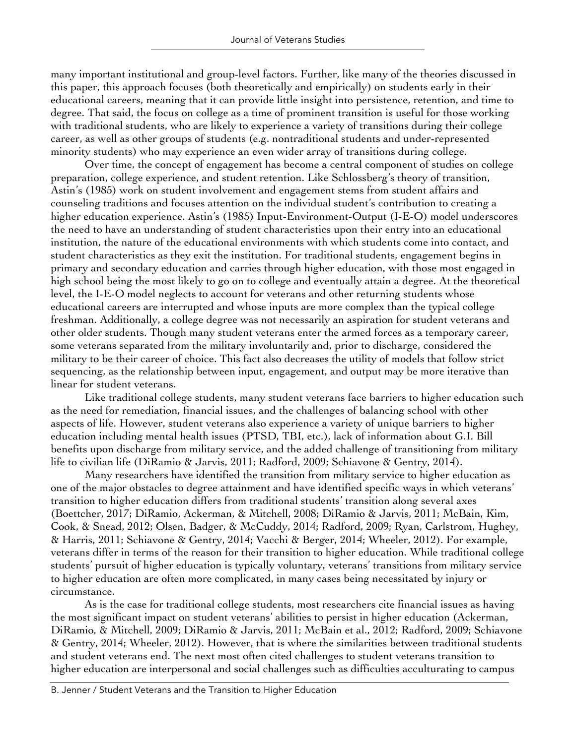many important institutional and group-level factors. Further, like many of the theories discussed in this paper, this approach focuses (both theoretically and empirically) on students early in their educational careers, meaning that it can provide little insight into persistence, retention, and time to degree. That said, the focus on college as a time of prominent transition is useful for those working with traditional students, who are likely to experience a variety of transitions during their college career, as well as other groups of students (e.g. nontraditional students and under-represented minority students) who may experience an even wider array of transitions during college.

Over time, the concept of engagement has become a central component of studies on college preparation, college experience, and student retention. Like Schlossberg's theory of transition, Astin's (1985) work on student involvement and engagement stems from student affairs and counseling traditions and focuses attention on the individual student's contribution to creating a higher education experience. Astin's (1985) Input-Environment-Output (I-E-O) model underscores the need to have an understanding of student characteristics upon their entry into an educational institution, the nature of the educational environments with which students come into contact, and student characteristics as they exit the institution. For traditional students, engagement begins in primary and secondary education and carries through higher education, with those most engaged in high school being the most likely to go on to college and eventually attain a degree. At the theoretical level, the I-E-O model neglects to account for veterans and other returning students whose educational careers are interrupted and whose inputs are more complex than the typical college freshman. Additionally, a college degree was not necessarily an aspiration for student veterans and other older students. Though many student veterans enter the armed forces as a temporary career, some veterans separated from the military involuntarily and, prior to discharge, considered the military to be their career of choice. This fact also decreases the utility of models that follow strict sequencing, as the relationship between input, engagement, and output may be more iterative than linear for student veterans.

Like traditional college students, many student veterans face barriers to higher education such as the need for remediation, financial issues, and the challenges of balancing school with other aspects of life. However, student veterans also experience a variety of unique barriers to higher education including mental health issues (PTSD, TBI, etc.), lack of information about G.I. Bill benefits upon discharge from military service, and the added challenge of transitioning from military life to civilian life (DiRamio & Jarvis, 2011; Radford, 2009; Schiavone & Gentry, 2014).

Many researchers have identified the transition from military service to higher education as one of the major obstacles to degree attainment and have identified specific ways in which veterans' transition to higher education differs from traditional students' transition along several axes (Boettcher, 2017; DiRamio, Ackerman, & Mitchell, 2008; DiRamio & Jarvis, 2011; McBain, Kim, Cook, & Snead, 2012; Olsen, Badger, & McCuddy, 2014; Radford, 2009; Ryan, Carlstrom, Hughey, & Harris, 2011; Schiavone & Gentry, 2014; Vacchi & Berger, 2014; Wheeler, 2012). For example, veterans differ in terms of the reason for their transition to higher education. While traditional college students' pursuit of higher education is typically voluntary, veterans' transitions from military service to higher education are often more complicated, in many cases being necessitated by injury or circumstance.

As is the case for traditional college students, most researchers cite financial issues as having the most significant impact on student veterans' abilities to persist in higher education (Ackerman, DiRamio, & Mitchell, 2009; DiRamio & Jarvis, 2011; McBain et al., 2012; Radford, 2009; Schiavone & Gentry, 2014; Wheeler, 2012). However, that is where the similarities between traditional students and student veterans end. The next most often cited challenges to student veterans transition to higher education are interpersonal and social challenges such as difficulties acculturating to campus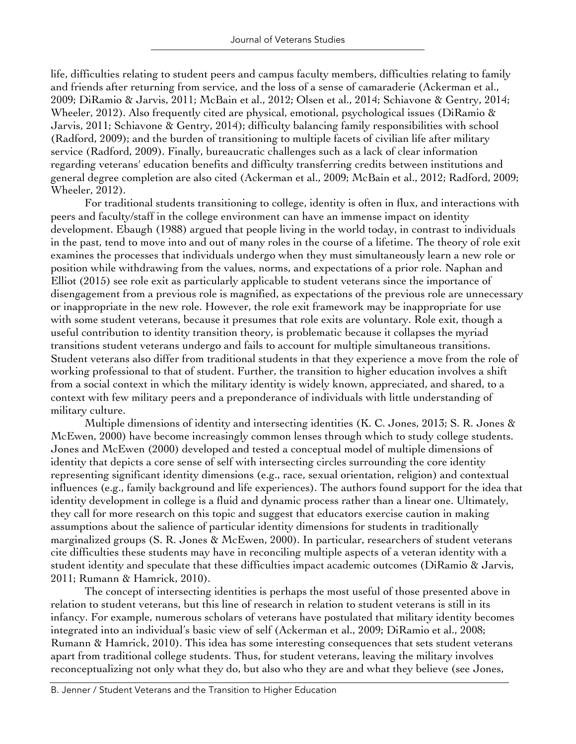life, difficulties relating to student peers and campus faculty members, difficulties relating to family and friends after returning from service, and the loss of a sense of camaraderie (Ackerman et al., 2009; DiRamio & Jarvis, 2011; McBain et al., 2012; Olsen et al., 2014; Schiavone & Gentry, 2014; Wheeler, 2012). Also frequently cited are physical, emotional, psychological issues (DiRamio & Jarvis, 2011; Schiavone & Gentry, 2014); difficulty balancing family responsibilities with school (Radford, 2009); and the burden of transitioning to multiple facets of civilian life after military service (Radford, 2009). Finally, bureaucratic challenges such as a lack of clear information regarding veterans' education benefits and difficulty transferring credits between institutions and general degree completion are also cited (Ackerman et al., 2009; McBain et al., 2012; Radford, 2009; Wheeler, 2012).

For traditional students transitioning to college, identity is often in flux, and interactions with peers and faculty/staff in the college environment can have an immense impact on identity development. Ebaugh (1988) argued that people living in the world today, in contrast to individuals in the past, tend to move into and out of many roles in the course of a lifetime. The theory of role exit examines the processes that individuals undergo when they must simultaneously learn a new role or position while withdrawing from the values, norms, and expectations of a prior role. Naphan and Elliot (2015) see role exit as particularly applicable to student veterans since the importance of disengagement from a previous role is magnified, as expectations of the previous role are unnecessary or inappropriate in the new role. However, the role exit framework may be inappropriate for use with some student veterans, because it presumes that role exits are voluntary. Role exit, though a useful contribution to identity transition theory, is problematic because it collapses the myriad transitions student veterans undergo and fails to account for multiple simultaneous transitions. Student veterans also differ from traditional students in that they experience a move from the role of working professional to that of student. Further, the transition to higher education involves a shift from a social context in which the military identity is widely known, appreciated, and shared, to a context with few military peers and a preponderance of individuals with little understanding of military culture.

Multiple dimensions of identity and intersecting identities (K. C. Jones, 2013; S. R. Jones & McEwen, 2000) have become increasingly common lenses through which to study college students. Jones and McEwen (2000) developed and tested a conceptual model of multiple dimensions of identity that depicts a core sense of self with intersecting circles surrounding the core identity representing significant identity dimensions (e.g., race, sexual orientation, religion) and contextual influences (e.g., family background and life experiences). The authors found support for the idea that identity development in college is a fluid and dynamic process rather than a linear one. Ultimately, they call for more research on this topic and suggest that educators exercise caution in making assumptions about the salience of particular identity dimensions for students in traditionally marginalized groups (S. R. Jones & McEwen, 2000). In particular, researchers of student veterans cite difficulties these students may have in reconciling multiple aspects of a veteran identity with a student identity and speculate that these difficulties impact academic outcomes (DiRamio & Jarvis, 2011; Rumann & Hamrick, 2010).

The concept of intersecting identities is perhaps the most useful of those presented above in relation to student veterans, but this line of research in relation to student veterans is still in its infancy. For example, numerous scholars of veterans have postulated that military identity becomes integrated into an individual's basic view of self (Ackerman et al., 2009; DiRamio et al., 2008; Rumann & Hamrick, 2010). This idea has some interesting consequences that sets student veterans apart from traditional college students. Thus, for student veterans, leaving the military involves reconceptualizing not only what they do, but also who they are and what they believe (see Jones,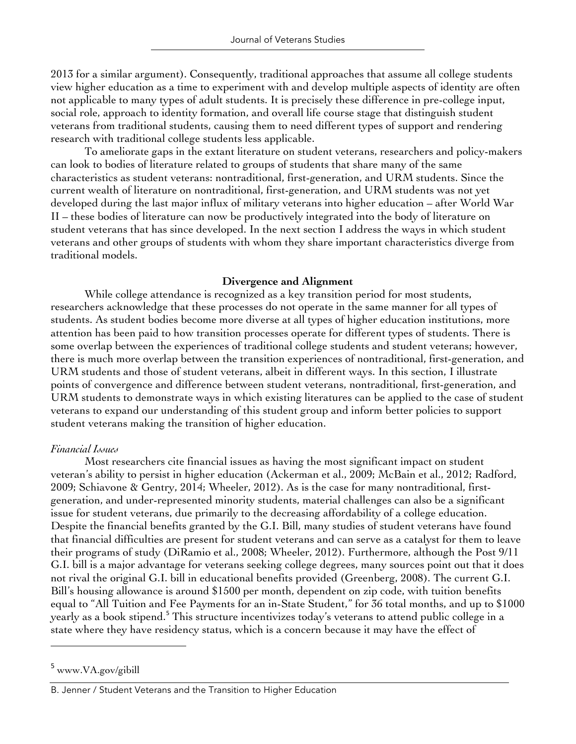2013 for a similar argument). Consequently, traditional approaches that assume all college students view higher education as a time to experiment with and develop multiple aspects of identity are often not applicable to many types of adult students. It is precisely these difference in pre-college input, social role, approach to identity formation, and overall life course stage that distinguish student veterans from traditional students, causing them to need different types of support and rendering research with traditional college students less applicable.

To ameliorate gaps in the extant literature on student veterans, researchers and policy-makers can look to bodies of literature related to groups of students that share many of the same characteristics as student veterans: nontraditional, first-generation, and URM students. Since the current wealth of literature on nontraditional, first-generation, and URM students was not yet developed during the last major influx of military veterans into higher education – after World War II – these bodies of literature can now be productively integrated into the body of literature on student veterans that has since developed. In the next section I address the ways in which student veterans and other groups of students with whom they share important characteristics diverge from traditional models.

#### **Divergence and Alignment**

While college attendance is recognized as a key transition period for most students, researchers acknowledge that these processes do not operate in the same manner for all types of students. As student bodies become more diverse at all types of higher education institutions, more attention has been paid to how transition processes operate for different types of students. There is some overlap between the experiences of traditional college students and student veterans; however, there is much more overlap between the transition experiences of nontraditional, first-generation, and URM students and those of student veterans, albeit in different ways. In this section, I illustrate points of convergence and difference between student veterans, nontraditional, first-generation, and URM students to demonstrate ways in which existing literatures can be applied to the case of student veterans to expand our understanding of this student group and inform better policies to support student veterans making the transition of higher education.

## *Financial Issues*

Most researchers cite financial issues as having the most significant impact on student veteran's ability to persist in higher education (Ackerman et al., 2009; McBain et al., 2012; Radford, 2009; Schiavone & Gentry, 2014; Wheeler, 2012). As is the case for many nontraditional, firstgeneration, and under-represented minority students, material challenges can also be a significant issue for student veterans, due primarily to the decreasing affordability of a college education. Despite the financial benefits granted by the G.I. Bill, many studies of student veterans have found that financial difficulties are present for student veterans and can serve as a catalyst for them to leave their programs of study (DiRamio et al., 2008; Wheeler, 2012). Furthermore, although the Post 9/11 G.I. bill is a major advantage for veterans seeking college degrees, many sources point out that it does not rival the original G.I. bill in educational benefits provided (Greenberg, 2008). The current G.I. Bill's housing allowance is around \$1500 per month, dependent on zip code, with tuition benefits equal to "All Tuition and Fee Payments for an in-State Student," for 36 total months, and up to \$1000 yearly as a book stipend.<sup>5</sup> This structure incentivizes today's veterans to attend public college in a state where they have residency status, which is a concern because it may have the effect of

<sup>5</sup> www.VA.gov/gibill

B. Jenner / Student Veterans and the Transition to Higher Education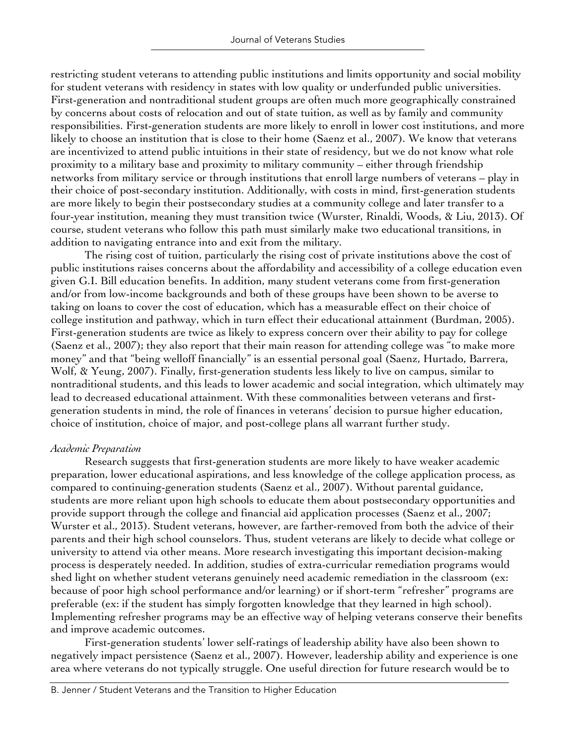restricting student veterans to attending public institutions and limits opportunity and social mobility for student veterans with residency in states with low quality or underfunded public universities. First-generation and nontraditional student groups are often much more geographically constrained by concerns about costs of relocation and out of state tuition, as well as by family and community responsibilities. First-generation students are more likely to enroll in lower cost institutions, and more likely to choose an institution that is close to their home (Saenz et al., 2007). We know that veterans are incentivized to attend public intuitions in their state of residency, but we do not know what role proximity to a military base and proximity to military community – either through friendship networks from military service or through institutions that enroll large numbers of veterans – play in their choice of post-secondary institution. Additionally, with costs in mind, first-generation students are more likely to begin their postsecondary studies at a community college and later transfer to a four-year institution, meaning they must transition twice (Wurster, Rinaldi, Woods, & Liu, 2013). Of course, student veterans who follow this path must similarly make two educational transitions, in addition to navigating entrance into and exit from the military.

The rising cost of tuition, particularly the rising cost of private institutions above the cost of public institutions raises concerns about the affordability and accessibility of a college education even given G.I. Bill education benefits. In addition, many student veterans come from first-generation and/or from low-income backgrounds and both of these groups have been shown to be averse to taking on loans to cover the cost of education, which has a measurable effect on their choice of college institution and pathway, which in turn effect their educational attainment (Burdman, 2005). First-generation students are twice as likely to express concern over their ability to pay for college (Saenz et al., 2007); they also report that their main reason for attending college was "to make more money" and that "being welloff financially" is an essential personal goal (Saenz, Hurtado, Barrera, Wolf, & Yeung, 2007). Finally, first-generation students less likely to live on campus, similar to nontraditional students, and this leads to lower academic and social integration, which ultimately may lead to decreased educational attainment. With these commonalities between veterans and firstgeneration students in mind, the role of finances in veterans' decision to pursue higher education, choice of institution, choice of major, and post-college plans all warrant further study.

## *Academic Preparation*

Research suggests that first-generation students are more likely to have weaker academic preparation, lower educational aspirations, and less knowledge of the college application process, as compared to continuing-generation students (Saenz et al., 2007). Without parental guidance, students are more reliant upon high schools to educate them about postsecondary opportunities and provide support through the college and financial aid application processes (Saenz et al., 2007; Wurster et al., 2013). Student veterans, however, are farther-removed from both the advice of their parents and their high school counselors. Thus, student veterans are likely to decide what college or university to attend via other means. More research investigating this important decision-making process is desperately needed. In addition, studies of extra-curricular remediation programs would shed light on whether student veterans genuinely need academic remediation in the classroom (ex: because of poor high school performance and/or learning) or if short-term "refresher" programs are preferable (ex: if the student has simply forgotten knowledge that they learned in high school). Implementing refresher programs may be an effective way of helping veterans conserve their benefits and improve academic outcomes.

First-generation students' lower self-ratings of leadership ability have also been shown to negatively impact persistence (Saenz et al., 2007). However, leadership ability and experience is one area where veterans do not typically struggle. One useful direction for future research would be to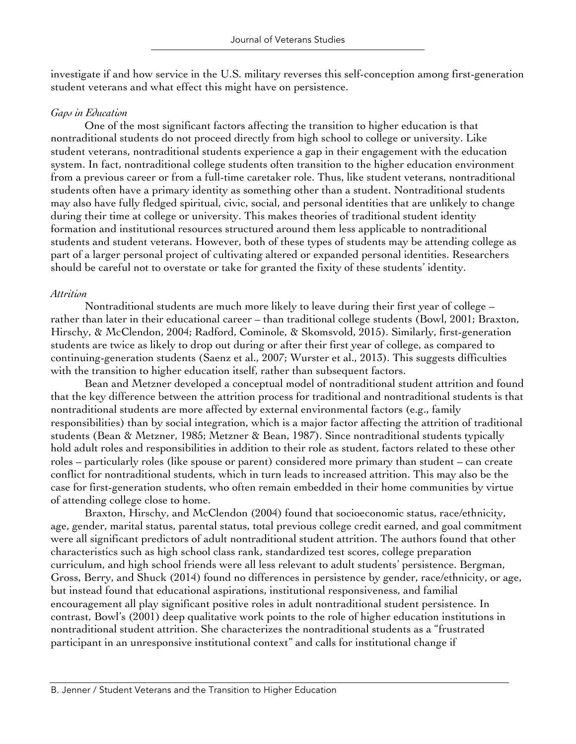investigate if and how service in the U.S. military reverses this self-conception among first-generation student veterans and what effect this might have on persistence.

## *Gaps in Education*

One of the most significant factors affecting the transition to higher education is that nontraditional students do not proceed directly from high school to college or university. Like student veterans, nontraditional students experience a gap in their engagement with the education system. In fact, nontraditional college students often transition to the higher education environment from a previous career or from a full-time caretaker role. Thus, like student veterans, nontraditional students often have a primary identity as something other than a student. Nontraditional students may also have fully fledged spiritual, civic, social, and personal identities that are unlikely to change during their time at college or university. This makes theories of traditional student identity formation and institutional resources structured around them less applicable to nontraditional students and student veterans. However, both of these types of students may be attending college as part of a larger personal project of cultivating altered or expanded personal identities. Researchers should be careful not to overstate or take for granted the fixity of these students' identity.

## *Attrition*

Nontraditional students are much more likely to leave during their first year of college – rather than later in their educational career – than traditional college students (Bowl, 2001; Braxton, Hirschy, & McClendon, 2004; Radford, Cominole, & Skomsvold, 2015). Similarly, first-generation students are twice as likely to drop out during or after their first year of college, as compared to continuing-generation students (Saenz et al., 2007; Wurster et al., 2013). This suggests difficulties with the transition to higher education itself, rather than subsequent factors.

Bean and Metzner developed a conceptual model of nontraditional student attrition and found that the key difference between the attrition process for traditional and nontraditional students is that nontraditional students are more affected by external environmental factors (e.g., family responsibilities) than by social integration, which is a major factor affecting the attrition of traditional students (Bean & Metzner, 1985; Metzner & Bean, 1987). Since nontraditional students typically hold adult roles and responsibilities in addition to their role as student, factors related to these other roles – particularly roles (like spouse or parent) considered more primary than student – can create conflict for nontraditional students, which in turn leads to increased attrition. This may also be the case for first-generation students, who often remain embedded in their home communities by virtue of attending college close to home.

Braxton, Hirschy, and McClendon (2004) found that socioeconomic status, race/ethnicity, age, gender, marital status, parental status, total previous college credit earned, and goal commitment were all significant predictors of adult nontraditional student attrition. The authors found that other characteristics such as high school class rank, standardized test scores, college preparation curriculum, and high school friends were all less relevant to adult students' persistence. Bergman, Gross, Berry, and Shuck (2014) found no differences in persistence by gender, race/ethnicity, or age, but instead found that educational aspirations, institutional responsiveness, and familial encouragement all play significant positive roles in adult nontraditional student persistence. In contrast, Bowl's (2001) deep qualitative work points to the role of higher education institutions in nontraditional student attrition. She characterizes the nontraditional students as a "frustrated participant in an unresponsive institutional context" and calls for institutional change if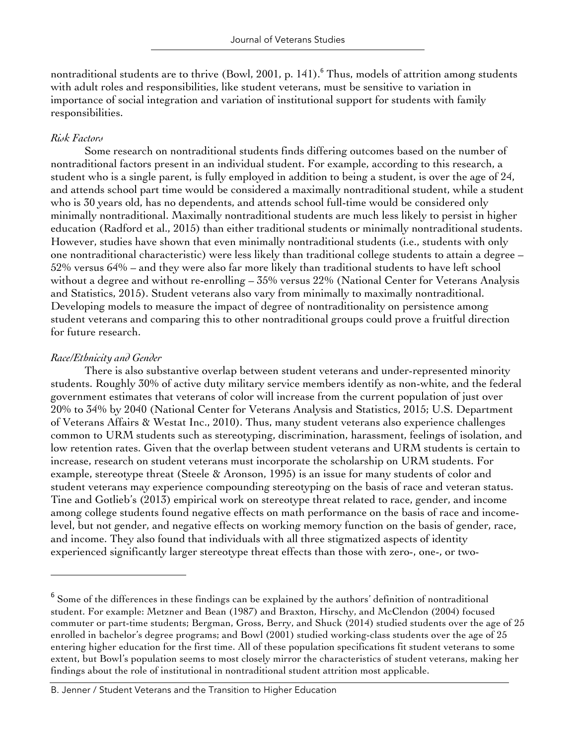nontraditional students are to thrive (Bowl, 2001, p. 141).<sup>6</sup> Thus, models of attrition among students with adult roles and responsibilities, like student veterans, must be sensitive to variation in importance of social integration and variation of institutional support for students with family responsibilities.

## *Risk Factors*

Some research on nontraditional students finds differing outcomes based on the number of nontraditional factors present in an individual student. For example, according to this research, a student who is a single parent, is fully employed in addition to being a student, is over the age of 24, and attends school part time would be considered a maximally nontraditional student, while a student who is 30 years old, has no dependents, and attends school full-time would be considered only minimally nontraditional. Maximally nontraditional students are much less likely to persist in higher education (Radford et al., 2015) than either traditional students or minimally nontraditional students. However, studies have shown that even minimally nontraditional students (i.e., students with only one nontraditional characteristic) were less likely than traditional college students to attain a degree – 52% versus 64% – and they were also far more likely than traditional students to have left school without a degree and without re-enrolling – 35% versus 22% (National Center for Veterans Analysis and Statistics, 2015). Student veterans also vary from minimally to maximally nontraditional. Developing models to measure the impact of degree of nontraditionality on persistence among student veterans and comparing this to other nontraditional groups could prove a fruitful direction for future research.

## *Race/Ethnicity and Gender*

There is also substantive overlap between student veterans and under-represented minority students. Roughly 30% of active duty military service members identify as non-white, and the federal government estimates that veterans of color will increase from the current population of just over 20% to 34% by 2040 (National Center for Veterans Analysis and Statistics, 2015; U.S. Department of Veterans Affairs & Westat Inc., 2010). Thus, many student veterans also experience challenges common to URM students such as stereotyping, discrimination, harassment, feelings of isolation, and low retention rates. Given that the overlap between student veterans and URM students is certain to increase, research on student veterans must incorporate the scholarship on URM students. For example, stereotype threat (Steele & Aronson, 1995) is an issue for many students of color and student veterans may experience compounding stereotyping on the basis of race and veteran status. Tine and Gotlieb's (2013) empirical work on stereotype threat related to race, gender, and income among college students found negative effects on math performance on the basis of race and incomelevel, but not gender, and negative effects on working memory function on the basis of gender, race, and income. They also found that individuals with all three stigmatized aspects of identity experienced significantly larger stereotype threat effects than those with zero-, one-, or two-

 $6$  Some of the differences in these findings can be explained by the authors' definition of nontraditional student. For example: Metzner and Bean (1987) and Braxton, Hirschy, and McClendon (2004) focused commuter or part-time students; Bergman, Gross, Berry, and Shuck (2014) studied students over the age of 25 enrolled in bachelor's degree programs; and Bowl (2001) studied working-class students over the age of 25 entering higher education for the first time. All of these population specifications fit student veterans to some extent, but Bowl's population seems to most closely mirror the characteristics of student veterans, making her findings about the role of institutional in nontraditional student attrition most applicable.

B. Jenner / Student Veterans and the Transition to Higher Education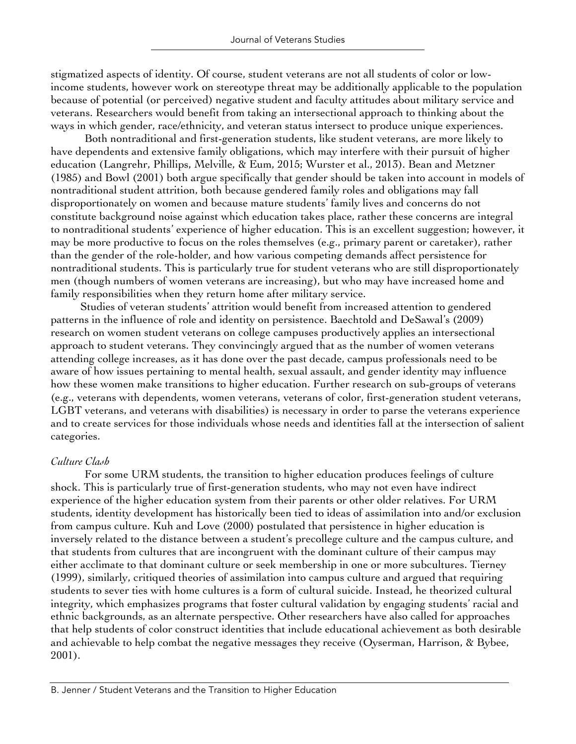stigmatized aspects of identity. Of course, student veterans are not all students of color or lowincome students, however work on stereotype threat may be additionally applicable to the population because of potential (or perceived) negative student and faculty attitudes about military service and veterans. Researchers would benefit from taking an intersectional approach to thinking about the ways in which gender, race/ethnicity, and veteran status intersect to produce unique experiences.

Both nontraditional and first-generation students, like student veterans, are more likely to have dependents and extensive family obligations, which may interfere with their pursuit of higher education (Langrehr, Phillips, Melville, & Eum, 2015; Wurster et al., 2013). Bean and Metzner (1985) and Bowl (2001) both argue specifically that gender should be taken into account in models of nontraditional student attrition, both because gendered family roles and obligations may fall disproportionately on women and because mature students' family lives and concerns do not constitute background noise against which education takes place, rather these concerns are integral to nontraditional students' experience of higher education. This is an excellent suggestion; however, it may be more productive to focus on the roles themselves (e.g., primary parent or caretaker), rather than the gender of the role-holder, and how various competing demands affect persistence for nontraditional students. This is particularly true for student veterans who are still disproportionately men (though numbers of women veterans are increasing), but who may have increased home and family responsibilities when they return home after military service.

Studies of veteran students' attrition would benefit from increased attention to gendered patterns in the influence of role and identity on persistence. Baechtold and DeSawal's (2009) research on women student veterans on college campuses productively applies an intersectional approach to student veterans. They convincingly argued that as the number of women veterans attending college increases, as it has done over the past decade, campus professionals need to be aware of how issues pertaining to mental health, sexual assault, and gender identity may influence how these women make transitions to higher education. Further research on sub-groups of veterans (e.g., veterans with dependents, women veterans, veterans of color, first-generation student veterans, LGBT veterans, and veterans with disabilities) is necessary in order to parse the veterans experience and to create services for those individuals whose needs and identities fall at the intersection of salient categories.

## *Culture Clash*

For some URM students, the transition to higher education produces feelings of culture shock. This is particularly true of first-generation students, who may not even have indirect experience of the higher education system from their parents or other older relatives. For URM students, identity development has historically been tied to ideas of assimilation into and/or exclusion from campus culture. Kuh and Love (2000) postulated that persistence in higher education is inversely related to the distance between a student's precollege culture and the campus culture, and that students from cultures that are incongruent with the dominant culture of their campus may either acclimate to that dominant culture or seek membership in one or more subcultures. Tierney (1999), similarly, critiqued theories of assimilation into campus culture and argued that requiring students to sever ties with home cultures is a form of cultural suicide. Instead, he theorized cultural integrity, which emphasizes programs that foster cultural validation by engaging students' racial and ethnic backgrounds, as an alternate perspective. Other researchers have also called for approaches that help students of color construct identities that include educational achievement as both desirable and achievable to help combat the negative messages they receive (Oyserman, Harrison, & Bybee, 2001).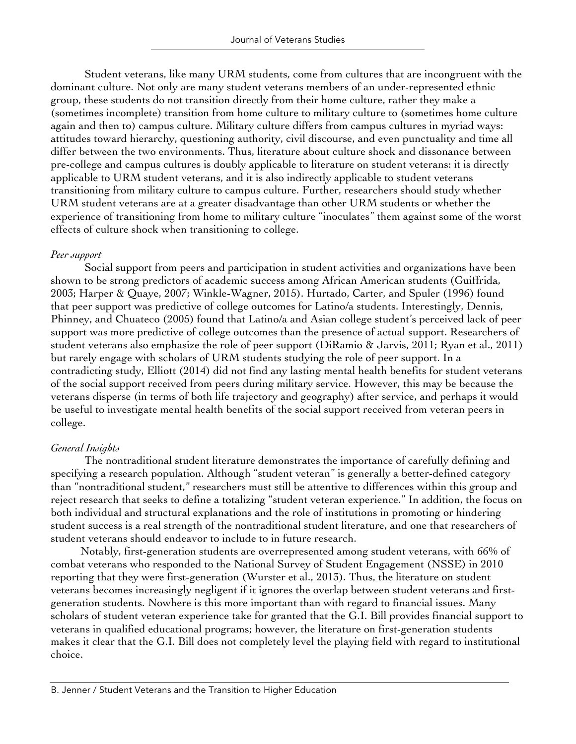Student veterans, like many URM students, come from cultures that are incongruent with the dominant culture. Not only are many student veterans members of an under-represented ethnic group, these students do not transition directly from their home culture, rather they make a (sometimes incomplete) transition from home culture to military culture to (sometimes home culture again and then to) campus culture. Military culture differs from campus cultures in myriad ways: attitudes toward hierarchy, questioning authority, civil discourse, and even punctuality and time all differ between the two environments. Thus, literature about culture shock and dissonance between pre-college and campus cultures is doubly applicable to literature on student veterans: it is directly applicable to URM student veterans, and it is also indirectly applicable to student veterans transitioning from military culture to campus culture. Further, researchers should study whether URM student veterans are at a greater disadvantage than other URM students or whether the experience of transitioning from home to military culture "inoculates" them against some of the worst effects of culture shock when transitioning to college.

## *Peer support*

Social support from peers and participation in student activities and organizations have been shown to be strong predictors of academic success among African American students (Guiffrida, 2003; Harper & Quaye, 2007; Winkle-Wagner, 2015). Hurtado, Carter, and Spuler (1996) found that peer support was predictive of college outcomes for Latino/a students. Interestingly, Dennis, Phinney, and Chuateco (2005) found that Latino/a and Asian college student's perceived lack of peer support was more predictive of college outcomes than the presence of actual support. Researchers of student veterans also emphasize the role of peer support (DiRamio & Jarvis, 2011; Ryan et al., 2011) but rarely engage with scholars of URM students studying the role of peer support. In a contradicting study, Elliott (2014) did not find any lasting mental health benefits for student veterans of the social support received from peers during military service. However, this may be because the veterans disperse (in terms of both life trajectory and geography) after service, and perhaps it would be useful to investigate mental health benefits of the social support received from veteran peers in college.

## *General Insights*

The nontraditional student literature demonstrates the importance of carefully defining and specifying a research population. Although "student veteran" is generally a better-defined category than "nontraditional student," researchers must still be attentive to differences within this group and reject research that seeks to define a totalizing "student veteran experience." In addition, the focus on both individual and structural explanations and the role of institutions in promoting or hindering student success is a real strength of the nontraditional student literature, and one that researchers of student veterans should endeavor to include to in future research.

Notably, first-generation students are overrepresented among student veterans, with 66% of combat veterans who responded to the National Survey of Student Engagement (NSSE) in 2010 reporting that they were first-generation (Wurster et al., 2013). Thus, the literature on student veterans becomes increasingly negligent if it ignores the overlap between student veterans and firstgeneration students. Nowhere is this more important than with regard to financial issues. Many scholars of student veteran experience take for granted that the G.I. Bill provides financial support to veterans in qualified educational programs; however, the literature on first-generation students makes it clear that the G.I. Bill does not completely level the playing field with regard to institutional choice.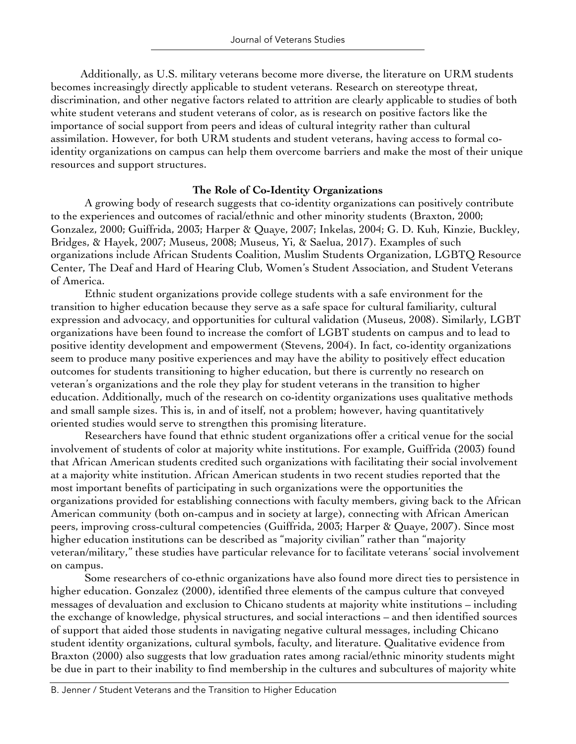Additionally, as U.S. military veterans become more diverse, the literature on URM students becomes increasingly directly applicable to student veterans. Research on stereotype threat, discrimination, and other negative factors related to attrition are clearly applicable to studies of both white student veterans and student veterans of color, as is research on positive factors like the importance of social support from peers and ideas of cultural integrity rather than cultural assimilation. However, for both URM students and student veterans, having access to formal coidentity organizations on campus can help them overcome barriers and make the most of their unique resources and support structures.

## **The Role of Co-Identity Organizations**

A growing body of research suggests that co-identity organizations can positively contribute to the experiences and outcomes of racial/ethnic and other minority students (Braxton, 2000; Gonzalez, 2000; Guiffrida, 2003; Harper & Quaye, 2007; Inkelas, 2004; G. D. Kuh, Kinzie, Buckley, Bridges, & Hayek, 2007; Museus, 2008; Museus, Yi, & Saelua, 2017). Examples of such organizations include African Students Coalition, Muslim Students Organization, LGBTQ Resource Center, The Deaf and Hard of Hearing Club, Women's Student Association, and Student Veterans of America.

Ethnic student organizations provide college students with a safe environment for the transition to higher education because they serve as a safe space for cultural familiarity, cultural expression and advocacy, and opportunities for cultural validation (Museus, 2008). Similarly, LGBT organizations have been found to increase the comfort of LGBT students on campus and to lead to positive identity development and empowerment (Stevens, 2004). In fact, co-identity organizations seem to produce many positive experiences and may have the ability to positively effect education outcomes for students transitioning to higher education, but there is currently no research on veteran's organizations and the role they play for student veterans in the transition to higher education. Additionally, much of the research on co-identity organizations uses qualitative methods and small sample sizes. This is, in and of itself, not a problem; however, having quantitatively oriented studies would serve to strengthen this promising literature.

Researchers have found that ethnic student organizations offer a critical venue for the social involvement of students of color at majority white institutions. For example, Guiffrida (2003) found that African American students credited such organizations with facilitating their social involvement at a majority white institution. African American students in two recent studies reported that the most important benefits of participating in such organizations were the opportunities the organizations provided for establishing connections with faculty members, giving back to the African American community (both on-campus and in society at large), connecting with African American peers, improving cross-cultural competencies (Guiffrida, 2003; Harper & Quaye, 2007). Since most higher education institutions can be described as "majority civilian" rather than "majority veteran/military," these studies have particular relevance for to facilitate veterans' social involvement on campus.

Some researchers of co-ethnic organizations have also found more direct ties to persistence in higher education. Gonzalez (2000), identified three elements of the campus culture that conveyed messages of devaluation and exclusion to Chicano students at majority white institutions – including the exchange of knowledge, physical structures, and social interactions – and then identified sources of support that aided those students in navigating negative cultural messages, including Chicano student identity organizations, cultural symbols, faculty, and literature. Qualitative evidence from Braxton (2000) also suggests that low graduation rates among racial/ethnic minority students might be due in part to their inability to find membership in the cultures and subcultures of majority white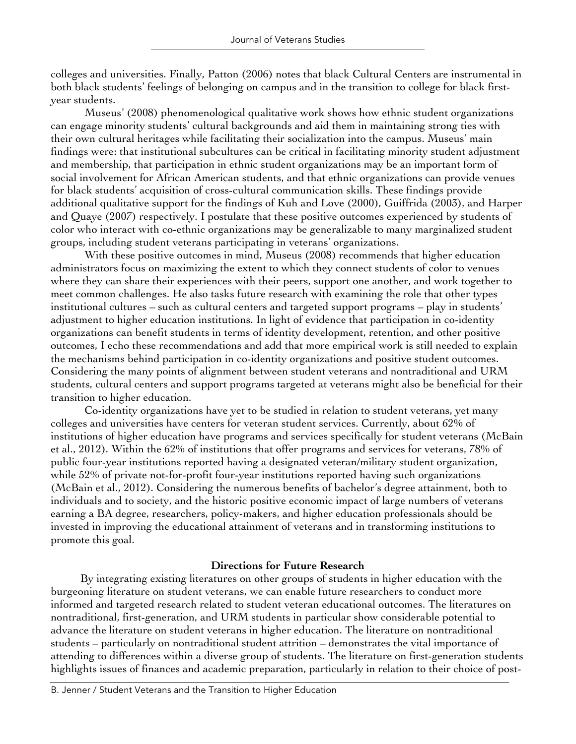colleges and universities. Finally, Patton (2006) notes that black Cultural Centers are instrumental in both black students' feelings of belonging on campus and in the transition to college for black firstyear students.

Museus' (2008) phenomenological qualitative work shows how ethnic student organizations can engage minority students' cultural backgrounds and aid them in maintaining strong ties with their own cultural heritages while facilitating their socialization into the campus. Museus' main findings were: that institutional subcultures can be critical in facilitating minority student adjustment and membership, that participation in ethnic student organizations may be an important form of social involvement for African American students, and that ethnic organizations can provide venues for black students' acquisition of cross-cultural communication skills. These findings provide additional qualitative support for the findings of Kuh and Love (2000), Guiffrida (2003), and Harper and Quaye (2007) respectively. I postulate that these positive outcomes experienced by students of color who interact with co-ethnic organizations may be generalizable to many marginalized student groups, including student veterans participating in veterans' organizations.

With these positive outcomes in mind, Museus (2008) recommends that higher education administrators focus on maximizing the extent to which they connect students of color to venues where they can share their experiences with their peers, support one another, and work together to meet common challenges. He also tasks future research with examining the role that other types institutional cultures – such as cultural centers and targeted support programs – play in students' adjustment to higher education institutions. In light of evidence that participation in co-identity organizations can benefit students in terms of identity development, retention, and other positive outcomes, I echo these recommendations and add that more empirical work is still needed to explain the mechanisms behind participation in co-identity organizations and positive student outcomes. Considering the many points of alignment between student veterans and nontraditional and URM students, cultural centers and support programs targeted at veterans might also be beneficial for their transition to higher education.

Co-identity organizations have yet to be studied in relation to student veterans, yet many colleges and universities have centers for veteran student services. Currently, about 62% of institutions of higher education have programs and services specifically for student veterans (McBain et al., 2012). Within the 62% of institutions that offer programs and services for veterans, 78% of public four-year institutions reported having a designated veteran/military student organization, while 52% of private not-for-profit four-year institutions reported having such organizations (McBain et al., 2012). Considering the numerous benefits of bachelor's degree attainment, both to individuals and to society, and the historic positive economic impact of large numbers of veterans earning a BA degree, researchers, policy-makers, and higher education professionals should be invested in improving the educational attainment of veterans and in transforming institutions to promote this goal.

## **Directions for Future Research**

By integrating existing literatures on other groups of students in higher education with the burgeoning literature on student veterans, we can enable future researchers to conduct more informed and targeted research related to student veteran educational outcomes. The literatures on nontraditional, first-generation, and URM students in particular show considerable potential to advance the literature on student veterans in higher education. The literature on nontraditional students – particularly on nontraditional student attrition – demonstrates the vital importance of attending to differences within a diverse group of students. The literature on first-generation students highlights issues of finances and academic preparation, particularly in relation to their choice of post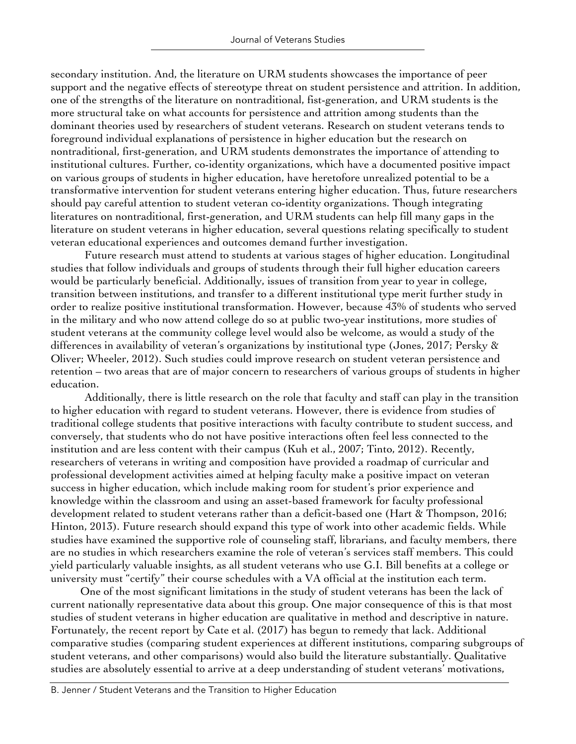secondary institution. And, the literature on URM students showcases the importance of peer support and the negative effects of stereotype threat on student persistence and attrition. In addition, one of the strengths of the literature on nontraditional, fist-generation, and URM students is the more structural take on what accounts for persistence and attrition among students than the dominant theories used by researchers of student veterans. Research on student veterans tends to foreground individual explanations of persistence in higher education but the research on nontraditional, first-generation, and URM students demonstrates the importance of attending to institutional cultures. Further, co-identity organizations, which have a documented positive impact on various groups of students in higher education, have heretofore unrealized potential to be a transformative intervention for student veterans entering higher education. Thus, future researchers should pay careful attention to student veteran co-identity organizations. Though integrating literatures on nontraditional, first-generation, and URM students can help fill many gaps in the literature on student veterans in higher education, several questions relating specifically to student veteran educational experiences and outcomes demand further investigation.

Future research must attend to students at various stages of higher education. Longitudinal studies that follow individuals and groups of students through their full higher education careers would be particularly beneficial. Additionally, issues of transition from year to year in college, transition between institutions, and transfer to a different institutional type merit further study in order to realize positive institutional transformation. However, because 43% of students who served in the military and who now attend college do so at public two-year institutions, more studies of student veterans at the community college level would also be welcome, as would a study of the differences in availability of veteran's organizations by institutional type (Jones, 2017; Persky & Oliver; Wheeler, 2012). Such studies could improve research on student veteran persistence and retention – two areas that are of major concern to researchers of various groups of students in higher education.

Additionally, there is little research on the role that faculty and staff can play in the transition to higher education with regard to student veterans. However, there is evidence from studies of traditional college students that positive interactions with faculty contribute to student success, and conversely, that students who do not have positive interactions often feel less connected to the institution and are less content with their campus (Kuh et al., 2007; Tinto, 2012). Recently, researchers of veterans in writing and composition have provided a roadmap of curricular and professional development activities aimed at helping faculty make a positive impact on veteran success in higher education, which include making room for student's prior experience and knowledge within the classroom and using an asset-based framework for faculty professional development related to student veterans rather than a deficit-based one (Hart & Thompson, 2016; Hinton, 2013). Future research should expand this type of work into other academic fields. While studies have examined the supportive role of counseling staff, librarians, and faculty members, there are no studies in which researchers examine the role of veteran's services staff members. This could yield particularly valuable insights, as all student veterans who use G.I. Bill benefits at a college or university must "certify" their course schedules with a VA official at the institution each term.

One of the most significant limitations in the study of student veterans has been the lack of current nationally representative data about this group. One major consequence of this is that most studies of student veterans in higher education are qualitative in method and descriptive in nature. Fortunately, the recent report by Cate et al. (2017) has begun to remedy that lack. Additional comparative studies (comparing student experiences at different institutions, comparing subgroups of student veterans, and other comparisons) would also build the literature substantially. Qualitative studies are absolutely essential to arrive at a deep understanding of student veterans' motivations,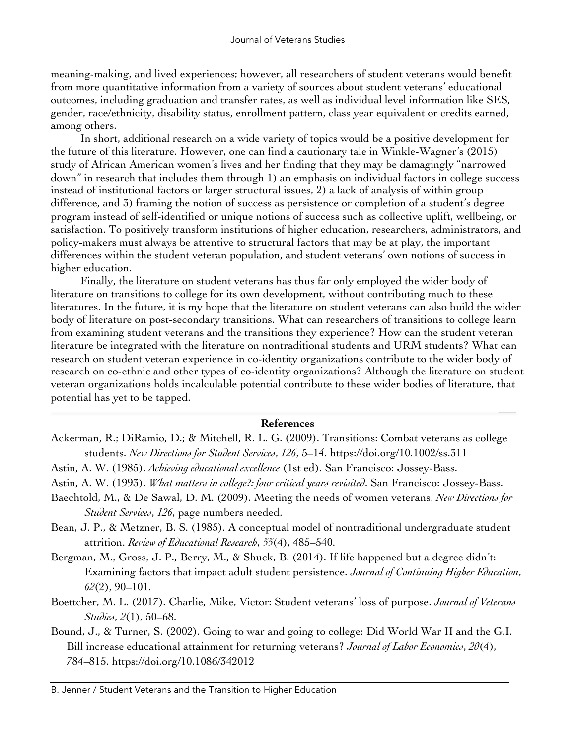meaning-making, and lived experiences; however, all researchers of student veterans would benefit from more quantitative information from a variety of sources about student veterans' educational outcomes, including graduation and transfer rates, as well as individual level information like SES, gender, race/ethnicity, disability status, enrollment pattern, class year equivalent or credits earned, among others.

In short, additional research on a wide variety of topics would be a positive development for the future of this literature. However, one can find a cautionary tale in Winkle-Wagner's (2015) study of African American women's lives and her finding that they may be damagingly "narrowed down" in research that includes them through 1) an emphasis on individual factors in college success instead of institutional factors or larger structural issues, 2) a lack of analysis of within group difference, and 3) framing the notion of success as persistence or completion of a student's degree program instead of self-identified or unique notions of success such as collective uplift, wellbeing, or satisfaction. To positively transform institutions of higher education, researchers, administrators, and policy-makers must always be attentive to structural factors that may be at play, the important differences within the student veteran population, and student veterans' own notions of success in higher education.

Finally, the literature on student veterans has thus far only employed the wider body of literature on transitions to college for its own development, without contributing much to these literatures. In the future, it is my hope that the literature on student veterans can also build the wider body of literature on post-secondary transitions. What can researchers of transitions to college learn from examining student veterans and the transitions they experience? How can the student veteran literature be integrated with the literature on nontraditional students and URM students? What can research on student veteran experience in co-identity organizations contribute to the wider body of research on co-ethnic and other types of co-identity organizations? Although the literature on student veteran organizations holds incalculable potential contribute to these wider bodies of literature, that potential has yet to be tapped.

#### **References**

- Ackerman, R.; DiRamio, D.; & Mitchell, R. L. G. (2009). Transitions: Combat veterans as college students. *New Directions for Student Services*, *126*, 5–14. https://doi.org/10.1002/ss.311
- Astin, A. W. (1985). *Achieving educational excellence* (1st ed). San Francisco: Jossey-Bass.
- Astin, A. W. (1993). *What matters in college?: four critical years revisited*. San Francisco: Jossey-Bass.
- Baechtold, M., & De Sawal, D. M. (2009). Meeting the needs of women veterans. *New Directions for Student Services*, *126*, page numbers needed.
- Bean, J. P., & Metzner, B. S. (1985). A conceptual model of nontraditional undergraduate student attrition. *Review of Educational Research*, *55*(4), 485–540.
- Bergman, M., Gross, J. P., Berry, M., & Shuck, B. (2014). If life happened but a degree didn't: Examining factors that impact adult student persistence. *Journal of Continuing Higher Education*, *62*(2), 90–101.
- Boettcher, M. L. (2017). Charlie, Mike, Victor: Student veterans' loss of purpose. *Journal of Veterans Studies*, *2*(1), 50–68.
- Bound, J., & Turner, S. (2002). Going to war and going to college: Did World War II and the G.I. Bill increase educational attainment for returning veterans? *Journal of Labor Economics*, *20*(4), 784–815. https://doi.org/10.1086/342012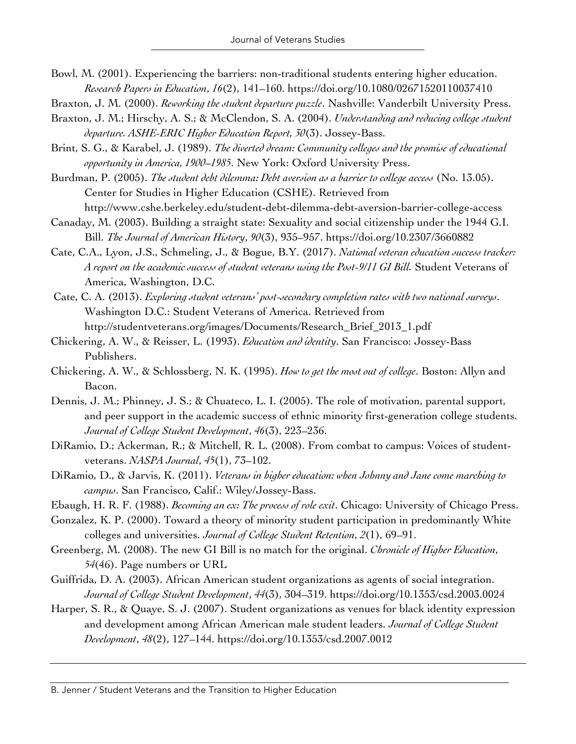- Bowl, M. (2001). Experiencing the barriers: non-traditional students entering higher education. *Research Papers in Education*, *16*(2), 141–160. https://doi.org/10.1080/02671520110037410
- Braxton, J. M. (2000). *Reworking the student departure puzzle*. Nashville: Vanderbilt University Press.
- Braxton, J. M.; Hirschy, A. S.; & McClendon, S. A. (2004). *Understanding and reducing college student departure. ASHE-ERIC Higher Education Report, 30*(3). Jossey-Bass.
- Brint, S. G., & Karabel, J. (1989). *The diverted dream: Community colleges and the promise of educational opportunity in America, 1900–1985*. New York: Oxford University Press.
- Burdman, P. (2005). *The student debt dilemma: Debt aversion as a barrier to college access* (No. 13.05). Center for Studies in Higher Education (CSHE). Retrieved from http://www.cshe.berkeley.edu/student-debt-dilemma-debt-aversion-barrier-college-access
- Canaday, M. (2003). Building a straight state: Sexuality and social citizenship under the 1944 G.I. Bill. *The Journal of American History*, *90*(3), 935–957. https://doi.org/10.2307/3660882
- Cate, C.A., Lyon, J.S., Schmeling, J., & Bogue, B.Y. (2017). *National veteran education success tracker: A report on the academic success of student veterans using the Post-9/11 GI Bill.* Student Veterans of America, Washington, D.C.
- Cate, C. A. (2013). *Exploring student veterans' post-secondary completion rates with two national surveys*. Washington D.C.: Student Veterans of America. Retrieved from http://studentveterans.org/images/Documents/Research\_Brief\_2013\_1.pdf
- Chickering, A. W., & Reisser, L. (1993). *Education and identity*. San Francisco: Jossey-Bass Publishers.
- Chickering, A. W., & Schlossberg, N. K. (1995). *How to get the most out of college*. Boston: Allyn and Bacon.
- Dennis, J. M.; Phinney, J. S.; & Chuateco, L. I. (2005). The role of motivation, parental support, and peer support in the academic success of ethnic minority first-generation college students. *Journal of College Student Development*, *46*(3), 223–236.
- DiRamio, D.; Ackerman, R.; & Mitchell, R. L. (2008). From combat to campus: Voices of studentveterans. *NASPA Journal*, *45*(1), 73–102.
- DiRamio, D., & Jarvis, K. (2011). *Veterans in higher education: when Johnny and Jane come marching to campus*. San Francisco, Calif.: Wiley/Jossey-Bass.
- Ebaugh, H. R. F. (1988). *Becoming an ex: The process of role exit*. Chicago: University of Chicago Press.
- Gonzalez, K. P. (2000). Toward a theory of minority student participation in predominantly White colleges and universities. *Journal of College Student Retention*, *2*(1), 69–91.
- Greenberg, M. (2008). The new GI Bill is no match for the original. *Chronicle of Higher Education*, *54*(46). Page numbers or URL
- Guiffrida, D. A. (2003). African American student organizations as agents of social integration. *Journal of College Student Development*, *44*(3), 304–319. https://doi.org/10.1353/csd.2003.0024
- Harper, S. R., & Quaye, S. J. (2007). Student organizations as venues for black identity expression and development among African American male student leaders. *Journal of College Student Development*, *48*(2), 127–144. https://doi.org/10.1353/csd.2007.0012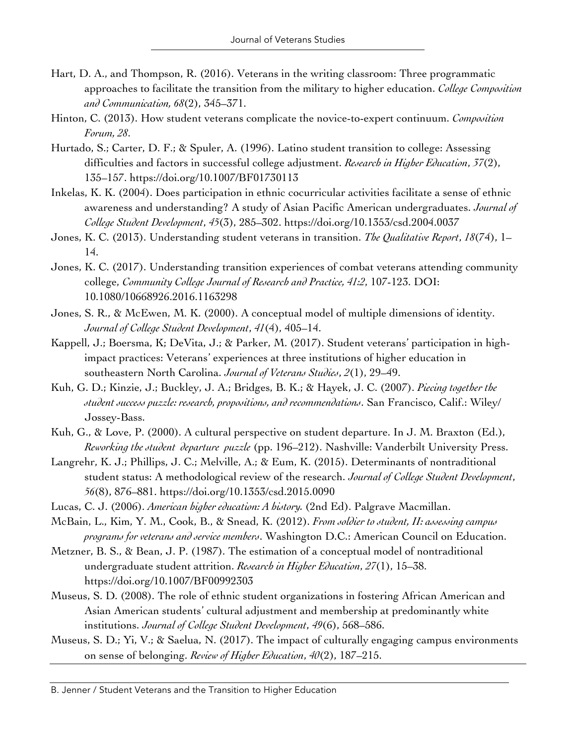- Hart, D. A., and Thompson, R. (2016). Veterans in the writing classroom: Three programmatic approaches to facilitate the transition from the military to higher education. *College Composition and Communication, 68*(2), 345–371.
- Hinton, C. (2013). How student veterans complicate the novice-to-expert continuum. *Composition Forum, 28*.
- Hurtado, S.; Carter, D. F.; & Spuler, A. (1996). Latino student transition to college: Assessing difficulties and factors in successful college adjustment. *Research in Higher Education*, *37*(2), 135–157. https://doi.org/10.1007/BF01730113
- Inkelas, K. K. (2004). Does participation in ethnic cocurricular activities facilitate a sense of ethnic awareness and understanding? A study of Asian Pacific American undergraduates. *Journal of College Student Development*, *45*(3), 285–302. https://doi.org/10.1353/csd.2004.0037
- Jones, K. C. (2013). Understanding student veterans in transition. *The Qualitative Report*, *18*(74), 1– 14.
- Jones, K. C. (2017). Understanding transition experiences of combat veterans attending community college, *Community College Journal of Research and Practice, 41:2*, 107-123. DOI: 10.1080/10668926.2016.1163298
- Jones, S. R., & McEwen, M. K. (2000). A conceptual model of multiple dimensions of identity. *Journal of College Student Development*, *41*(4), 405–14.
- Kappell, J.; Boersma, K; DeVita, J.; & Parker, M. (2017). Student veterans' participation in highimpact practices: Veterans' experiences at three institutions of higher education in southeastern North Carolina. *Journal of Veterans Studies*, *2*(1), 29–49.
- Kuh, G. D.; Kinzie, J.; Buckley, J. A.; Bridges, B. K.; & Hayek, J. C. (2007). *Piecing together the student success puzzle: research, propositions, and recommendations*. San Francisco, Calif.: Wiley/ Jossey-Bass.
- Kuh, G., & Love, P. (2000). A cultural perspective on student departure. In J. M. Braxton (Ed.), *Reworking the student departure puzzle* (pp. 196–212). Nashville: Vanderbilt University Press.
- Langrehr, K. J.; Phillips, J. C.; Melville, A.; & Eum, K. (2015). Determinants of nontraditional student status: A methodological review of the research. *Journal of College Student Development*, *56*(8), 876–881. https://doi.org/10.1353/csd.2015.0090
- Lucas, C. J. (2006). *American higher education: A history.* (2nd Ed). Palgrave Macmillan.
- McBain, L., Kim, Y. M., Cook, B., & Snead, K. (2012). *From soldier to student, II: assessing campus programs for veterans and service members*. Washington D.C.: American Council on Education.
- Metzner, B. S., & Bean, J. P. (1987). The estimation of a conceptual model of nontraditional undergraduate student attrition. *Research in Higher Education*, *27*(1), 15–38. https://doi.org/10.1007/BF00992303
- Museus, S. D. (2008). The role of ethnic student organizations in fostering African American and Asian American students' cultural adjustment and membership at predominantly white institutions. *Journal of College Student Development*, *49*(6), 568–586.
- Museus, S. D.; Yi, V.; & Saelua, N. (2017). The impact of culturally engaging campus environments on sense of belonging. *Review of Higher Education*, *40*(2), 187–215.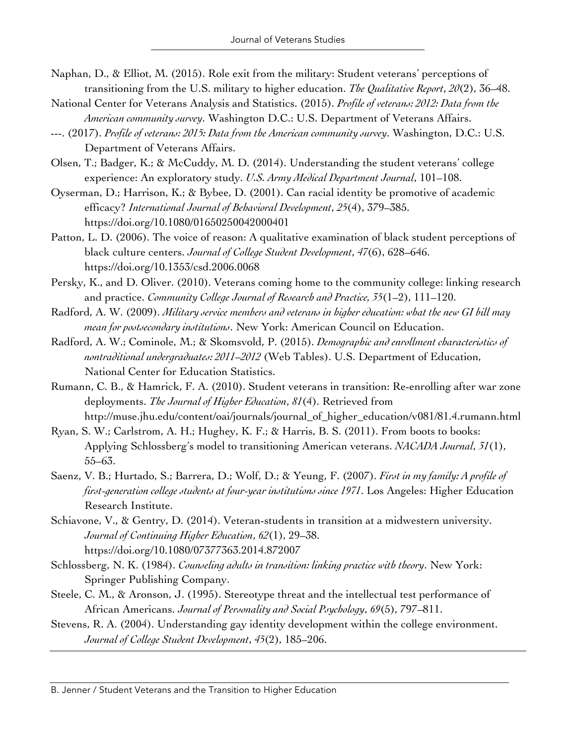- Naphan, D., & Elliot, M. (2015). Role exit from the military: Student veterans' perceptions of transitioning from the U.S. military to higher education. *The Qualitative Report*, *20*(2), 36–48.
- National Center for Veterans Analysis and Statistics. (2015). *Profile of veterans: 2012: Data from the American community survey*. Washington D.C.: U.S. Department of Veterans Affairs.
- ---. (2017). *Profile of veterans: 2015: Data from the American community survey*. Washington, D.C.: U.S. Department of Veterans Affairs.
- Olsen, T.; Badger, K.; & McCuddy, M. D. (2014). Understanding the student veterans' college experience: An exploratory study. *U.S. Army Medical Department Journal*, 101–108.
- Oyserman, D.; Harrison, K.; & Bybee, D. (2001). Can racial identity be promotive of academic efficacy? *International Journal of Behavioral Development*, *25*(4), 379–385. https://doi.org/10.1080/01650250042000401
- Patton, L. D. (2006). The voice of reason: A qualitative examination of black student perceptions of black culture centers. *Journal of College Student Development*, *47*(6), 628–646. https://doi.org/10.1353/csd.2006.0068
- Persky, K., and D. Oliver. (2010). Veterans coming home to the community college: linking research and practice. *Community College Journal of Research and Practice, 35*(1–2), 111–120.
- Radford, A. W. (2009). *Military service members and veterans in higher education: what the new GI bill may mean for postsecondary institutions*. New York: American Council on Education.
- Radford, A. W.; Cominole, M.; & Skomsvold, P. (2015). *Demographic and enrollment characteristics of nontraditional undergraduates: 2011–2012* (Web Tables). U.S. Department of Education, National Center for Education Statistics.
- Rumann, C. B., & Hamrick, F. A. (2010). Student veterans in transition: Re-enrolling after war zone deployments. *The Journal of Higher Education*, *81*(4). Retrieved from http://muse.jhu.edu/content/oai/journals/journal\_of\_higher\_education/v081/81.4.rumann.html
- Ryan, S. W.; Carlstrom, A. H.; Hughey, K. F.; & Harris, B. S. (2011). From boots to books: Applying Schlossberg's model to transitioning American veterans. *NACADA Journal*, *31*(1), 55–63.
- Saenz, V. B.; Hurtado, S.; Barrera, D.; Wolf, D.; & Yeung, F. (2007). *First in my family: A profile of first-generation college students at four-year institutions since 1971*. Los Angeles: Higher Education Research Institute.
- Schiavone, V., & Gentry, D. (2014). Veteran-students in transition at a midwestern university. *Journal of Continuing Higher Education*, *62*(1), 29–38. https://doi.org/10.1080/07377363.2014.872007
- Schlossberg, N. K. (1984). *Counseling adults in transition: linking practice with theory*. New York: Springer Publishing Company.
- Steele, C. M., & Aronson, J. (1995). Stereotype threat and the intellectual test performance of African Americans. *Journal of Personality and Social Psychology*, *69*(5), 797–811.
- Stevens, R. A. (2004). Understanding gay identity development within the college environment. *Journal of College Student Development*, *45*(2), 185–206.